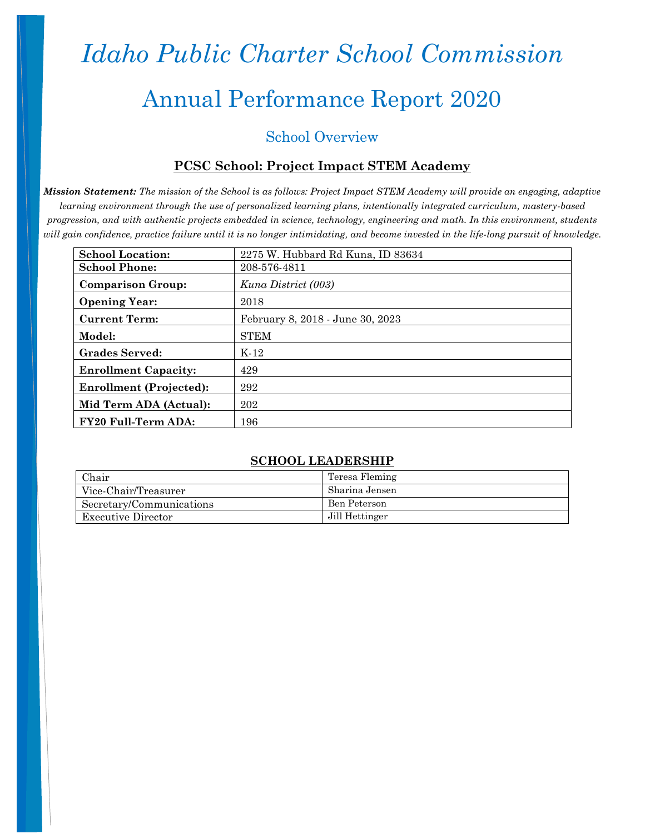# *Idaho Public Charter School Commission* Annual Performance Report 2020

### School Overview

#### **PCSC School: Project Impact STEM Academy**

*Mission Statement: The mission of the School is as follows: Project Impact STEM Academy will provide an engaging, adaptive learning environment through the use of personalized learning plans, intentionally integrated curriculum, mastery-based progression, and with authentic projects embedded in science, technology, engineering and math. In this environment, students will gain confidence, practice failure until it is no longer intimidating, and become invested in the life-long pursuit of knowledge.*

| <b>School Location:</b>        | 2275 W. Hubbard Rd Kuna, ID 83634 |
|--------------------------------|-----------------------------------|
| <b>School Phone:</b>           | 208-576-4811                      |
| <b>Comparison Group:</b>       | Kuna District (003)               |
| <b>Opening Year:</b>           | 2018                              |
| <b>Current Term:</b>           | February 8, 2018 - June 30, 2023  |
| Model:                         | <b>STEM</b>                       |
| <b>Grades Served:</b>          | $K-12$                            |
| <b>Enrollment Capacity:</b>    | 429                               |
| <b>Enrollment (Projected):</b> | 292                               |
| Mid Term ADA (Actual):         | 202                               |
| <b>FY20 Full-Term ADA:</b>     | 196                               |

#### **SCHOOL LEADERSHIP**

| Chair                     | Teresa Fleming |
|---------------------------|----------------|
| Vice-Chair/Treasurer      | Sharina Jensen |
| Secretary/Communications  | Ben Peterson   |
| <b>Executive Director</b> | Jill Hettinger |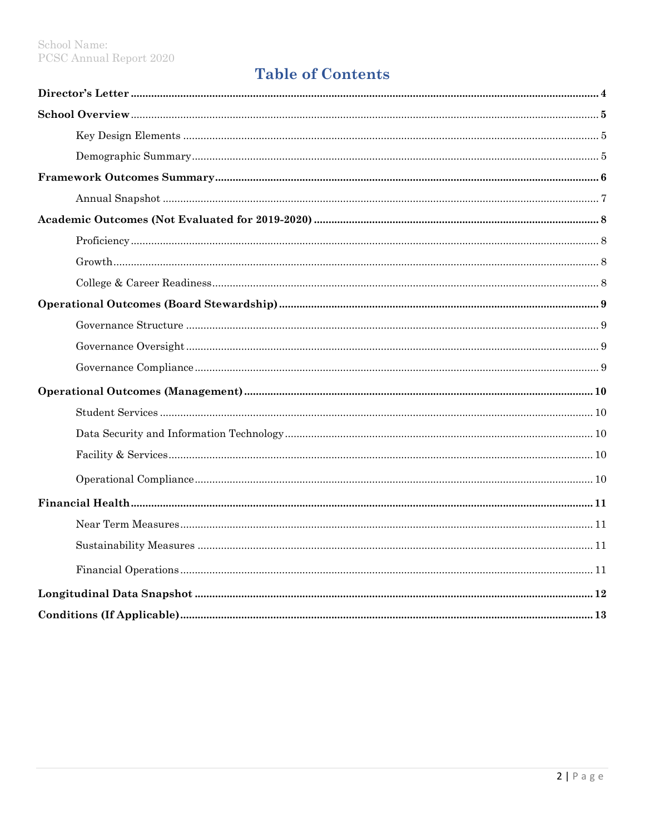### **Table of Contents**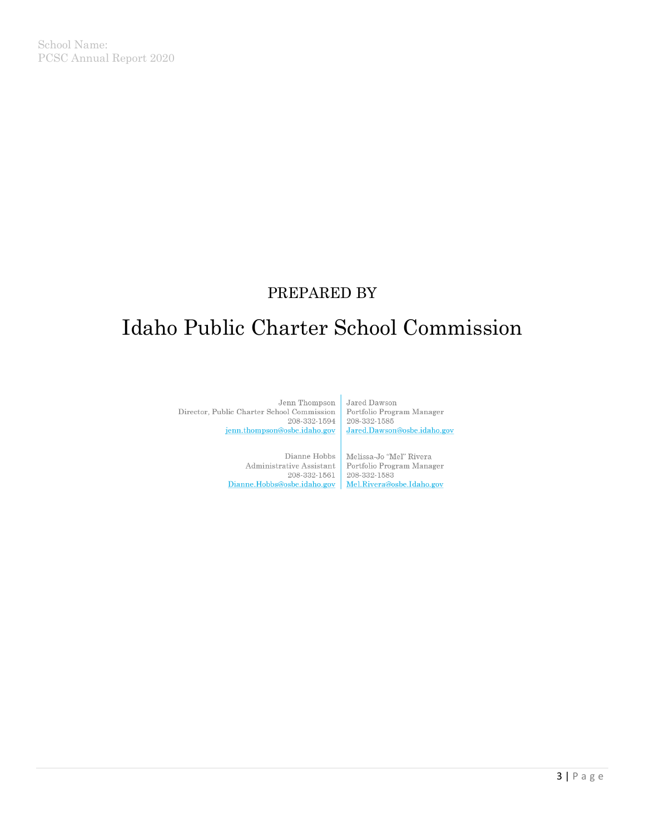### PREPARED BY

### Idaho Public Charter School Commission

Jenn Thompson Director, Public Charter School Commission 208-332-1594 jenn.thompson@osbe.idaho.gov

> Dianne Hobbs Administrative Assistant  $208 - 332 - 1561$

Jared Dawson Portfolio Program Manager 208-332-1585 Jared.Dawson@osbe.idaho.gov

Melissa-Jo "Mel" Rivera Portfolio Program Manager  $208\hbox{-}332\hbox{-}1583$ Dianne.Hobbs@osbe.idaho.gov | Mel.Rivera@osbe.Idaho.gov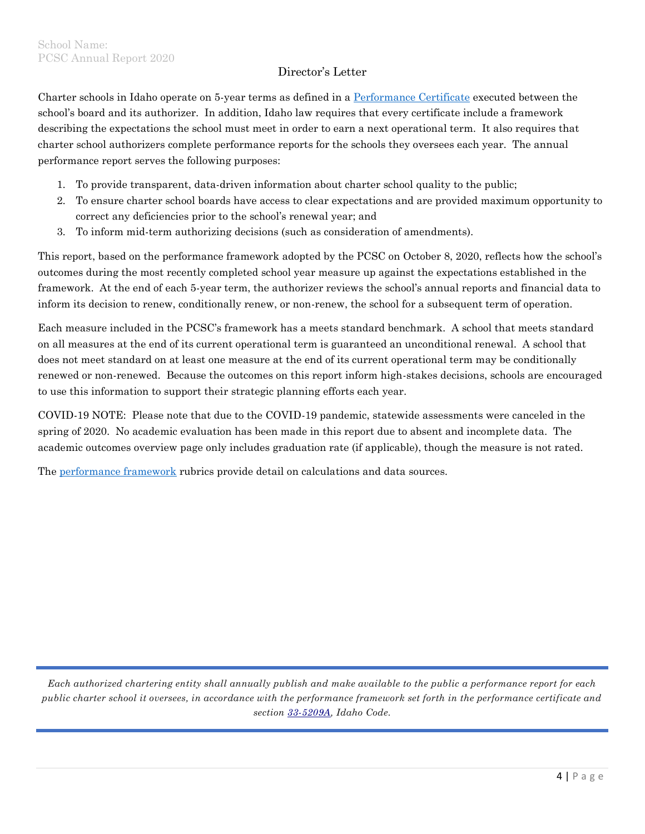#### Director's Letter

Charter schools in Idaho operate on 5-year terms as defined in a [Performance Certificate](https://chartercommission.idaho.gov/pcsc-schools/by-region/) executed between the school's board and its authorizer. In addition, Idaho law requires that every certificate include a framework describing the expectations the school must meet in order to earn a next operational term. It also requires that charter school authorizers complete performance reports for the schools they oversees each year. The annual performance report serves the following purposes:

- 1. To provide transparent, data-driven information about charter school quality to the public;
- 2. To ensure charter school boards have access to clear expectations and are provided maximum opportunity to correct any deficiencies prior to the school's renewal year; and
- 3. To inform mid-term authorizing decisions (such as consideration of amendments).

This report, based on the performance framework adopted by the PCSC on October 8, 2020, reflects how the school's outcomes during the most recently completed school year measure up against the expectations established in the framework. At the end of each 5-year term, the authorizer reviews the school's annual reports and financial data to inform its decision to renew, conditionally renew, or non-renew, the school for a subsequent term of operation.

Each measure included in the PCSC's framework has a meets standard benchmark. A school that meets standard on all measures at the end of its current operational term is guaranteed an unconditional renewal. A school that does not meet standard on at least one measure at the end of its current operational term may be conditionally renewed or non-renewed. Because the outcomes on this report inform high-stakes decisions, schools are encouraged to use this information to support their strategic planning efforts each year.

COVID-19 NOTE: Please note that due to the COVID-19 pandemic, statewide assessments were canceled in the spring of 2020. No academic evaluation has been made in this report due to absent and incomplete data. The academic outcomes overview page only includes graduation rate (if applicable), though the measure is not rated.

The [performance framework](https://chartercommission.idaho.gov/resources/financial-framework/) rubrics provide detail on calculations and data sources.

*Each authorized chartering entity shall annually publish and make available to the public a performance report for each public charter school it oversees, in accordance with the performance framework set forth in the performance certificate and section [33-5209A,](https://legislature.idaho.gov/statutesrules/idstat/Title33/T33CH52/SECT33-5209A) Idaho Code.*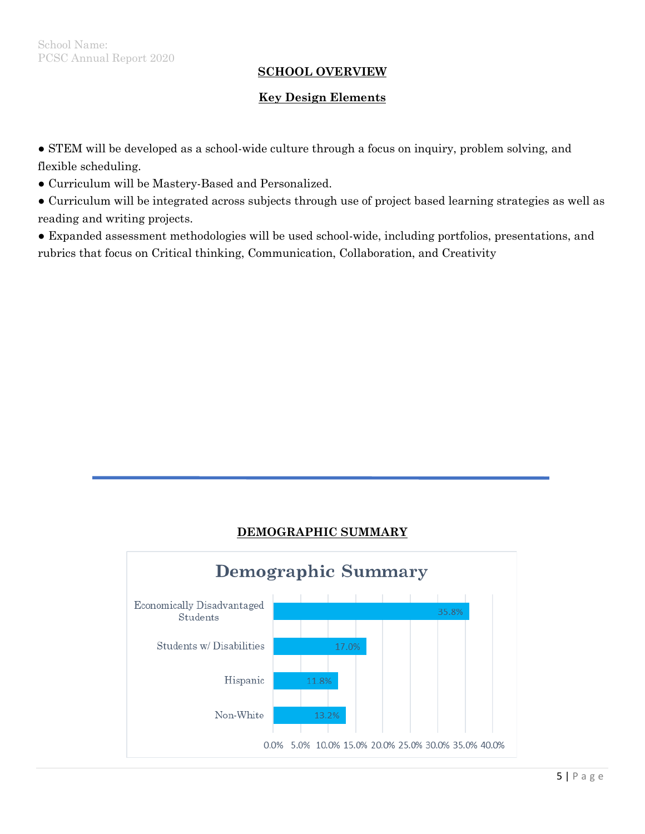#### **SCHOOL OVERVIEW**

#### **Key Design Elements**

● STEM will be developed as a school-wide culture through a focus on inquiry, problem solving, and flexible scheduling.

- Curriculum will be Mastery-Based and Personalized.
- Curriculum will be integrated across subjects through use of project based learning strategies as well as reading and writing projects.
- Expanded assessment methodologies will be used school-wide, including portfolios, presentations, and rubrics that focus on Critical thinking, Communication, Collaboration, and Creativity

#### **DEMOGRAPHIC SUMMARY**

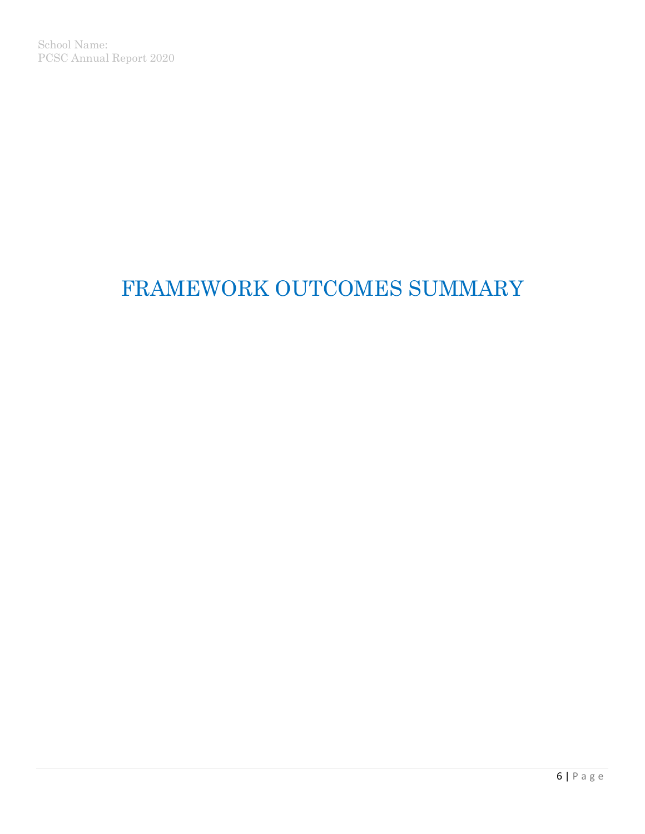# FRAMEWORK OUTCOMES SUMMARY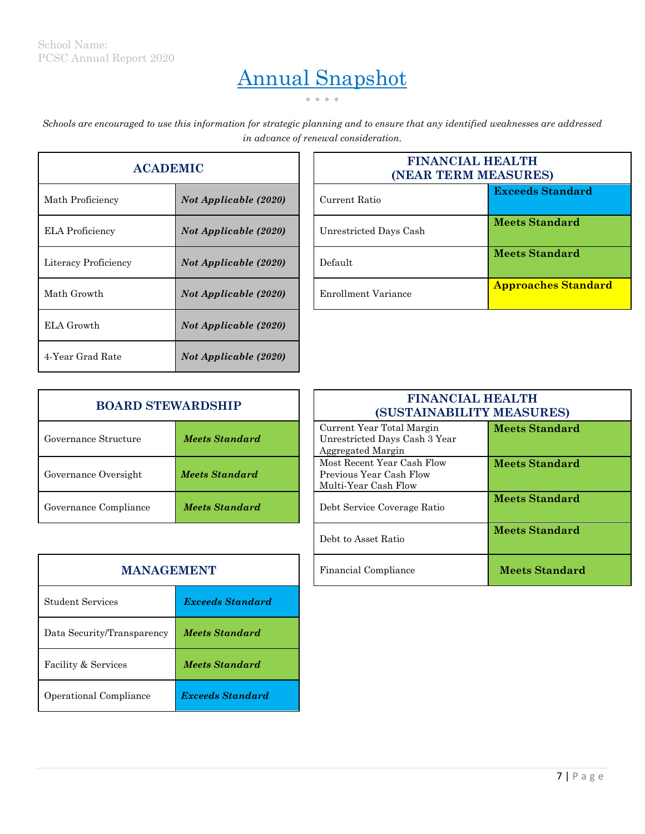# Annual Snapshot

 $\bullet \hspace{0.2cm} \bullet \hspace{0.2cm} \bullet \hspace{0.2cm} \bullet \hspace{0.2cm} \bullet$ 

*Schools are encouraged to use this information for strategic planning and to ensure that any identified weaknesses are addressed in advance of renewal consideration.*

| <b>ACADEMIC</b>        |                              | FII<br>JEA <sup>.</sup> |
|------------------------|------------------------------|-------------------------|
| Math Proficiency       | <b>Not Applicable (2020)</b> | Current Ratio           |
| <b>ELA</b> Proficiency | Not Applicable (2020)        | Unrestricted Days Cash  |
| Literacy Proficiency   | Not Applicable (2020)        | Default                 |
| Math Growth            | Not Applicable (2020)        | Enrollment Variance     |
| ELA Growth             | <b>Not Applicable (2020)</b> |                         |
| 4-Year Grad Rate       | <b>Not Applicable (2020)</b> |                         |

| <b>ACADEMIC</b>              |  | FINANCIAL HEALTH<br>(NEAR TERM MEASURES) |                            |
|------------------------------|--|------------------------------------------|----------------------------|
| <b>Not Applicable (2020)</b> |  | Current Ratio                            | <b>Exceeds Standard</b>    |
| <b>Not Applicable (2020)</b> |  | Unrestricted Days Cash                   | <b>Meets Standard</b>      |
| <b>Not Applicable (2020)</b> |  | Default                                  | <b>Meets Standard</b>      |
| <b>Not Applicable (2020)</b> |  | Enrollment Variance                      | <b>Approaches Standard</b> |

| <b>BOARD STEWARDSHIP</b> |                       | <b>FINAN</b><br><b>(SUSTAINA)</b>                                             |
|--------------------------|-----------------------|-------------------------------------------------------------------------------|
| Governance Structure     | Meets Standard        | Current Year Total Margin<br>Unrestricted Days Cash 3 Ye<br>Aggregated Margin |
| Governance Oversight     | Meets Standard        | Most Recent Year Cash Flow<br>Previous Year Cash Flow<br>Multi-Year Cash Flow |
| Governance Compliance    | <b>Meets Standard</b> | Debt Service Coverage Ratio                                                   |

|                   | <b>RD STEWARDSHIP</b> | <b>FINANCIAL HEALTH</b><br>(SUSTAINABILITY MEASURES)                            |                       |
|-------------------|-----------------------|---------------------------------------------------------------------------------|-----------------------|
| ture              | Meets Standard        | Current Year Total Margin<br>Unrestricted Days Cash 3 Year<br>Aggregated Margin | <b>Meets Standard</b> |
| sight             | Meets Standard        | Most Recent Year Cash Flow<br>Previous Year Cash Flow<br>Multi-Year Cash Flow   | <b>Meets Standard</b> |
| bliance           | <b>Meets Standard</b> | Debt Service Coverage Ratio                                                     | <b>Meets Standard</b> |
|                   |                       | Debt to Asset Ratio                                                             | <b>Meets Standard</b> |
| <b>MANAGEMENT</b> |                       | Financial Compliance                                                            | <b>Meets Standard</b> |

| <b>MANAGEMENT</b>          |                         |  |
|----------------------------|-------------------------|--|
| Student Services           | <b>Exceeds Standard</b> |  |
| Data Security/Transparency | Meets Standard          |  |
| Facility & Services        | Meets Standard          |  |
| Operational Compliance     | <b>Exceeds Standard</b> |  |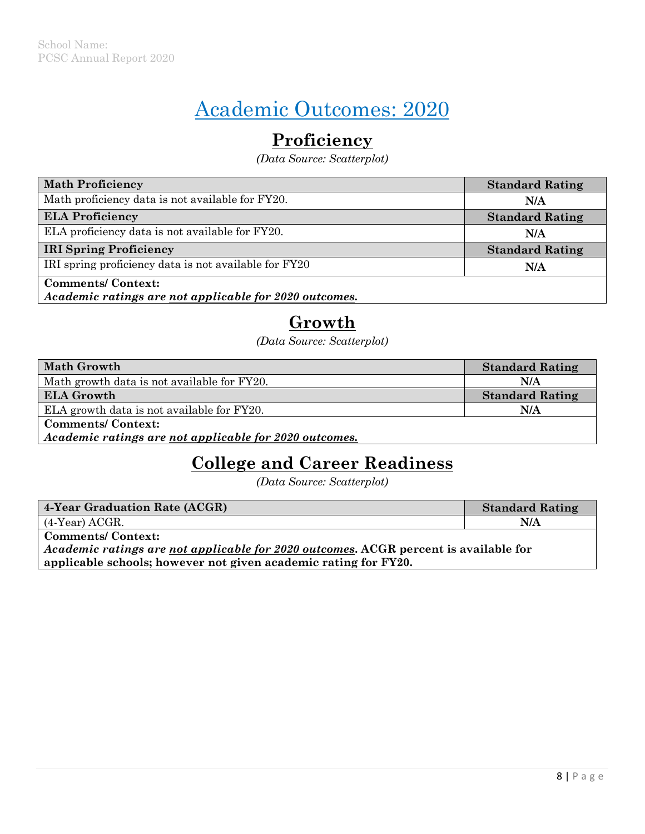### Academic Outcomes: 2020

### **Proficiency**

*(Data Source: Scatterplot)*

| <b>Math Proficiency</b>                                                            | <b>Standard Rating</b> |
|------------------------------------------------------------------------------------|------------------------|
| Math proficiency data is not available for FY20.                                   | N/A                    |
| <b>ELA Proficiency</b>                                                             | <b>Standard Rating</b> |
| ELA proficiency data is not available for FY20.                                    | N/A                    |
| <b>IRI Spring Proficiency</b>                                                      | <b>Standard Rating</b> |
| IRI spring proficiency data is not available for FY20                              | N/A                    |
| <b>Comments/Context:</b><br>Academic ratings are not applicable for 2020 outcomes. |                        |

### **Growth**

*(Data Source: Scatterplot)*

| <b>Math Growth</b>                                     | <b>Standard Rating</b> |  |
|--------------------------------------------------------|------------------------|--|
| Math growth data is not available for FY20.            | N/A                    |  |
| <b>ELA Growth</b>                                      | <b>Standard Rating</b> |  |
| ELA growth data is not available for FY20.             | N/A                    |  |
| <b>Comments/Context:</b>                               |                        |  |
| Academic ratings are not applicable for 2020 outcomes. |                        |  |

### **College and Career Readiness**

*(Data Source: Scatterplot)*

| 4-Year Graduation Rate (ACGR)                                                        | <b>Standard Rating</b> |  |
|--------------------------------------------------------------------------------------|------------------------|--|
| $(4$ -Year) ACGR.                                                                    | N/A                    |  |
| <b>Comments/Context:</b>                                                             |                        |  |
| Academic ratings are not applicable for 2020 outcomes. ACGR percent is available for |                        |  |

**applicable schools; however not given academic rating for FY20.**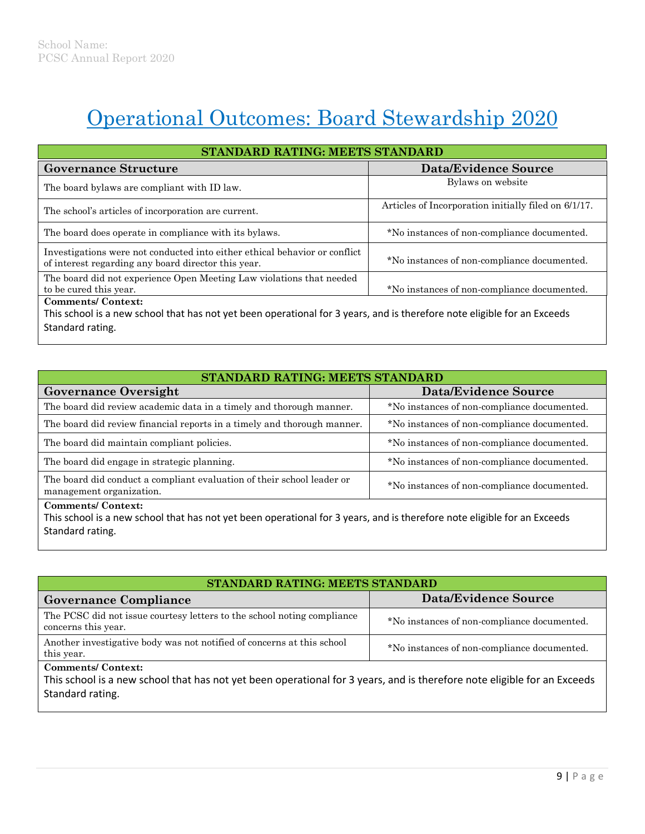# Operational Outcomes: Board Stewardship 2020

| STANDARD RATING: MEETS STANDARD                                                                                                   |                                                      |  |  |
|-----------------------------------------------------------------------------------------------------------------------------------|------------------------------------------------------|--|--|
| <b>Governance Structure</b>                                                                                                       | <b>Data/Evidence Source</b>                          |  |  |
| The board by laws are compliant with ID law.                                                                                      | Bylaws on website                                    |  |  |
| The school's articles of incorporation are current.                                                                               | Articles of Incorporation initially filed on 6/1/17. |  |  |
| The board does operate in compliance with its by laws.                                                                            | *No instances of non-compliance documented.          |  |  |
| Investigations were not conducted into either ethical behavior or conflict<br>of interest regarding any board director this year. | *No instances of non-compliance documented.          |  |  |
| The board did not experience Open Meeting Law violations that needed<br>to be cured this year.                                    | *No instances of non-compliance documented.          |  |  |
| <b>Comments/Context:</b>                                                                                                          |                                                      |  |  |
| This school is a new school that has not yet been operational for 3 years, and is therefore note eligible for an Exceeds          |                                                      |  |  |
| Standard rating.                                                                                                                  |                                                      |  |  |

| STANDARD RATING: MEETS STANDARD                                                                    |                                             |  |
|----------------------------------------------------------------------------------------------------|---------------------------------------------|--|
| <b>Governance Oversight</b>                                                                        | <b>Data/Evidence Source</b>                 |  |
| The board did review academic data in a timely and thorough manner.                                | *No instances of non-compliance documented. |  |
| The board did review financial reports in a timely and thorough manner.                            | *No instances of non-compliance documented. |  |
| The board did maintain compliant policies.                                                         | *No instances of non-compliance documented. |  |
| The board did engage in strategic planning.                                                        | *No instances of non-compliance documented. |  |
| The board did conduct a compliant evaluation of their school leader or<br>management organization. | *No instances of non-compliance documented. |  |
| <b>Comments/Context:</b>                                                                           |                                             |  |

This school is a new school that has not yet been operational for 3 years, and is therefore note eligible for an Exceeds Standard rating.

| STANDARD RATING: MEETS STANDARD                                                                                                                      |                                             |  |
|------------------------------------------------------------------------------------------------------------------------------------------------------|---------------------------------------------|--|
| <b>Governance Compliance</b>                                                                                                                         | Data/Evidence Source                        |  |
| The PCSC did not issue courtesy letters to the school noting compliance<br>concerns this year.                                                       | *No instances of non-compliance documented. |  |
| Another investigative body was not notified of concerns at this school<br>*No instances of non-compliance documented.<br>this year.                  |                                             |  |
| <b>Comments/Context:</b><br>This school is a new school that has not yet been operational for 3 years, and is therefore note eligible for an Exceeds |                                             |  |

Standard rating.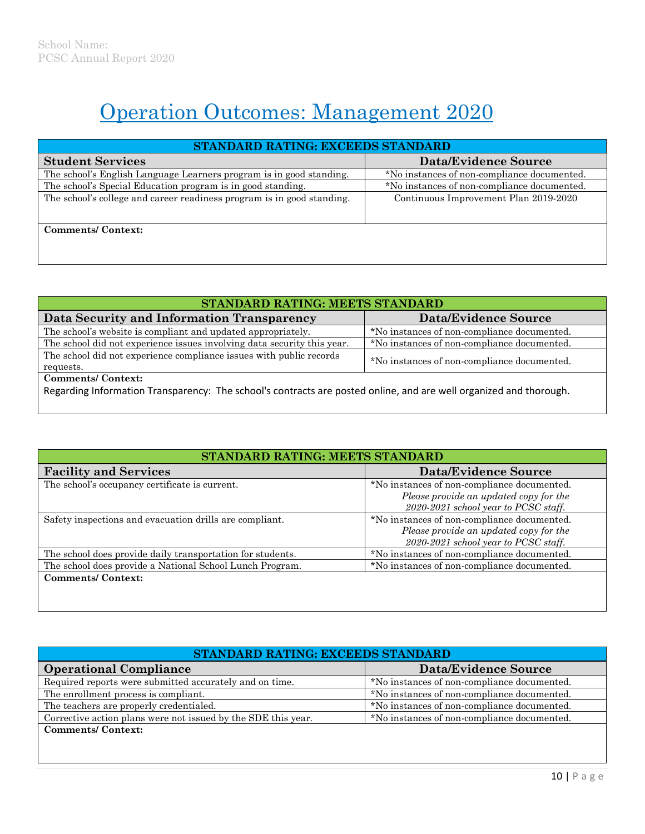# Operation Outcomes: Management 2020

| STANDARD RATING: EXCEEDS STANDARD                                      |                                             |  |
|------------------------------------------------------------------------|---------------------------------------------|--|
| <b>Student Services</b>                                                | Data/Evidence Source                        |  |
| The school's English Language Learners program is in good standing.    | *No instances of non-compliance documented. |  |
| The school's Special Education program is in good standing.            | *No instances of non-compliance documented. |  |
| The school's college and career readiness program is in good standing. | Continuous Improvement Plan 2019-2020       |  |
| <b>Comments/Context:</b>                                               |                                             |  |

| STANDARD RATING: MEETS STANDARD                                                                                    |                                             |  |
|--------------------------------------------------------------------------------------------------------------------|---------------------------------------------|--|
| Data Security and Information Transparency                                                                         | <b>Data/Evidence Source</b>                 |  |
| The school's website is compliant and updated appropriately.                                                       | *No instances of non-compliance documented. |  |
| The school did not experience issues involving data security this year.                                            | *No instances of non-compliance documented. |  |
| The school did not experience compliance issues with public records                                                | *No instances of non-compliance documented. |  |
| requests.                                                                                                          |                                             |  |
| <b>Comments/Context:</b>                                                                                           |                                             |  |
| Regarding Information Transparency: The school's contracts are posted online, and are well organized and thorough. |                                             |  |

| STANDARD RATING: MEETS STANDARD                            |                                                                                                                               |  |
|------------------------------------------------------------|-------------------------------------------------------------------------------------------------------------------------------|--|
| <b>Facility and Services</b>                               | <b>Data/Evidence Source</b>                                                                                                   |  |
| The school's occupancy certificate is current.             | *No instances of non-compliance documented.<br>Please provide an updated copy for the<br>2020-2021 school year to PCSC staff. |  |
| Safety inspections and evacuation drills are compliant.    | *No instances of non-compliance documented.<br>Please provide an updated copy for the<br>2020-2021 school year to PCSC staff. |  |
| The school does provide daily transportation for students. | *No instances of non-compliance documented.                                                                                   |  |
| The school does provide a National School Lunch Program.   | *No instances of non-compliance documented.                                                                                   |  |
| <b>Comments/Context:</b>                                   |                                                                                                                               |  |

| STANDARD RATING: EXCEEDS STANDARD                             |                                             |  |
|---------------------------------------------------------------|---------------------------------------------|--|
| <b>Operational Compliance</b>                                 | <b>Data/Evidence Source</b>                 |  |
| Required reports were submitted accurately and on time.       | *No instances of non-compliance documented. |  |
| The enrollment process is compliant.                          | *No instances of non-compliance documented. |  |
| The teachers are properly credentialed.                       | *No instances of non-compliance documented. |  |
| Corrective action plans were not issued by the SDE this year. | *No instances of non-compliance documented. |  |
| <b>Comments/Context:</b>                                      |                                             |  |
|                                                               |                                             |  |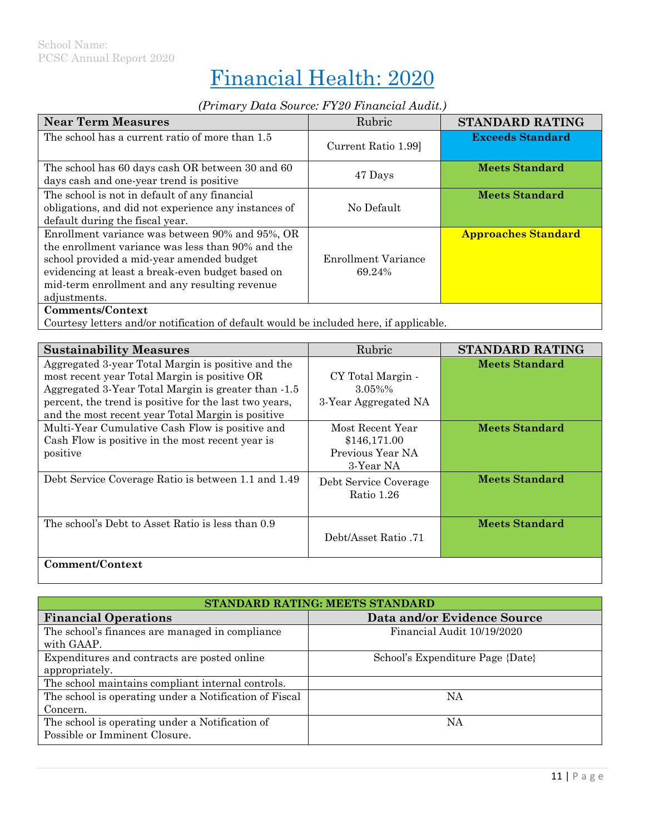# Financial Health: 2020

#### *(Primary Data Source: FY20 Financial Audit.)*

| <b>Near Term Measures</b>                                                                                                                                                                                                                                              | Rubric                               | <b>STANDARD RATING</b>     |
|------------------------------------------------------------------------------------------------------------------------------------------------------------------------------------------------------------------------------------------------------------------------|--------------------------------------|----------------------------|
| The school has a current ratio of more than 1.5                                                                                                                                                                                                                        | Current Ratio 1.99                   | <b>Exceeds Standard</b>    |
| The school has 60 days cash OR between 30 and 60<br>days cash and one-year trend is positive                                                                                                                                                                           | 47 Days                              | <b>Meets Standard</b>      |
| The school is not in default of any financial<br>obligations, and did not experience any instances of<br>default during the fiscal year.                                                                                                                               | No Default                           | <b>Meets Standard</b>      |
| Enrollment variance was between 90% and 95%, OR<br>the enrollment variance was less than 90% and the<br>school provided a mid-year amended budget<br>evidencing at least a break-even budget based on<br>mid-term enrollment and any resulting revenue<br>adjustments. | <b>Enrollment Variance</b><br>69.24% | <b>Approaches Standard</b> |
| <b>Comments/Context</b><br>$\mathcal{A}$ and interested the contract of the contract of the contract of the contract of the contract of the contract of the contract of the contract of the contract of the contract of the contract of the contract of the c          |                                      |                            |

Courtesy letters and/or notification of default would be included here, if applicable.

| <b>Sustainability Measures</b>                         | Rubric                | <b>STANDARD RATING</b> |
|--------------------------------------------------------|-----------------------|------------------------|
| Aggregated 3-year Total Margin is positive and the     |                       | <b>Meets Standard</b>  |
| most recent year Total Margin is positive OR           | CY Total Margin -     |                        |
| Aggregated 3-Year Total Margin is greater than -1.5    | 3.05%%                |                        |
| percent, the trend is positive for the last two years, | 3-Year Aggregated NA  |                        |
| and the most recent year Total Margin is positive      |                       |                        |
| Multi-Year Cumulative Cash Flow is positive and        | Most Recent Year      | <b>Meets Standard</b>  |
| Cash Flow is positive in the most recent year is       | \$146,171.00          |                        |
| positive                                               | Previous Year NA      |                        |
|                                                        | 3-Year NA             |                        |
| Debt Service Coverage Ratio is between 1.1 and 1.49    | Debt Service Coverage | <b>Meets Standard</b>  |
|                                                        | Ratio 1.26            |                        |
|                                                        |                       |                        |
| The school's Debt to Asset Ratio is less than 0.9      |                       | <b>Meets Standard</b>  |
|                                                        | Debt/Asset Ratio .71  |                        |
|                                                        |                       |                        |
| Comment/Context                                        |                       |                        |

#### Uon

| STANDARD RATING: MEETS STANDARD                                                  |                                  |  |
|----------------------------------------------------------------------------------|----------------------------------|--|
| <b>Financial Operations</b>                                                      | Data and/or Evidence Source      |  |
| The school's finances are managed in compliance<br>with GAAP.                    | Financial Audit 10/19/2020       |  |
| Expenditures and contracts are posted online<br>appropriately.                   | School's Expenditure Page {Date} |  |
| The school maintains compliant internal controls.                                |                                  |  |
| The school is operating under a Notification of Fiscal<br>Concern.               | NΑ                               |  |
| The school is operating under a Notification of<br>Possible or Imminent Closure. | NΑ                               |  |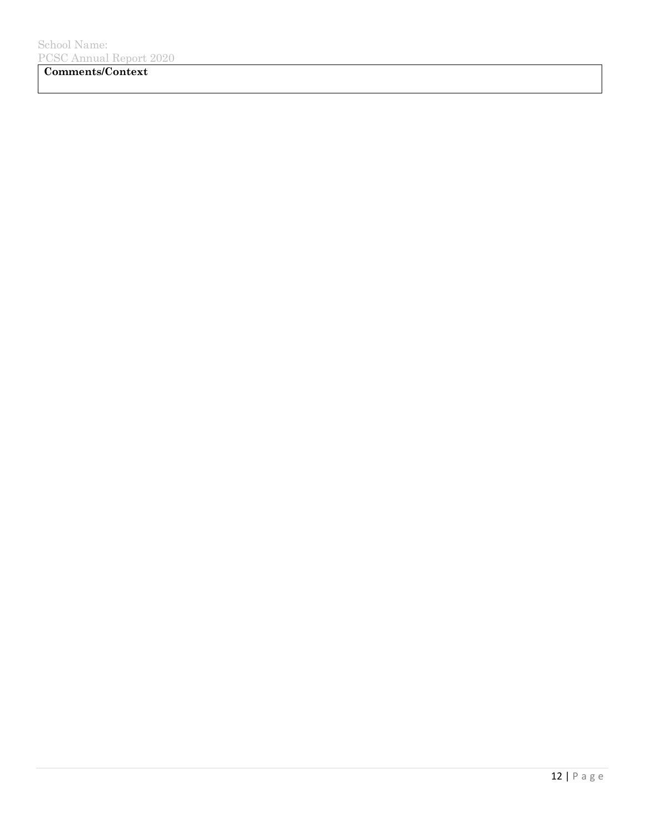**Comments/Context**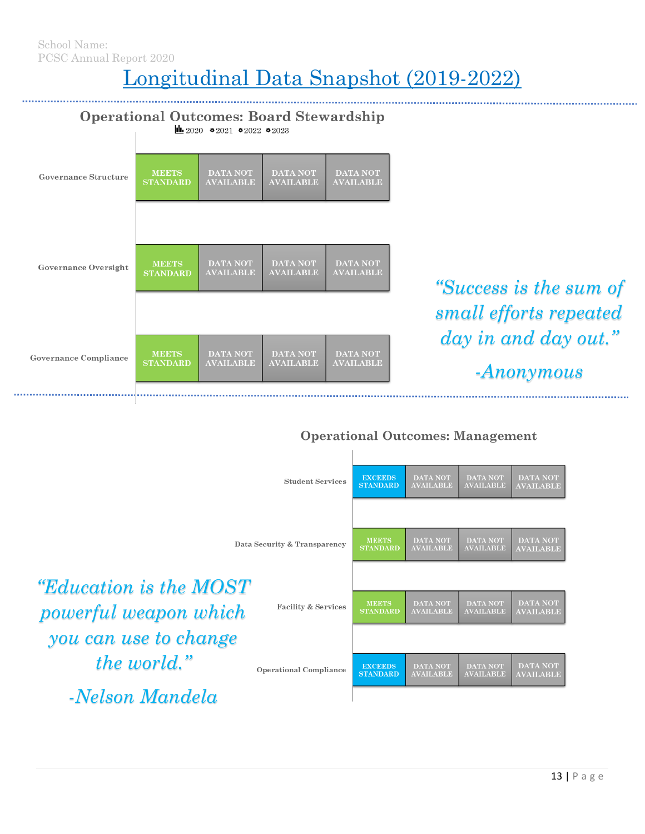# Longitudinal Data Snapshot (2019-2022)



#### **Operational Outcomes: Management**